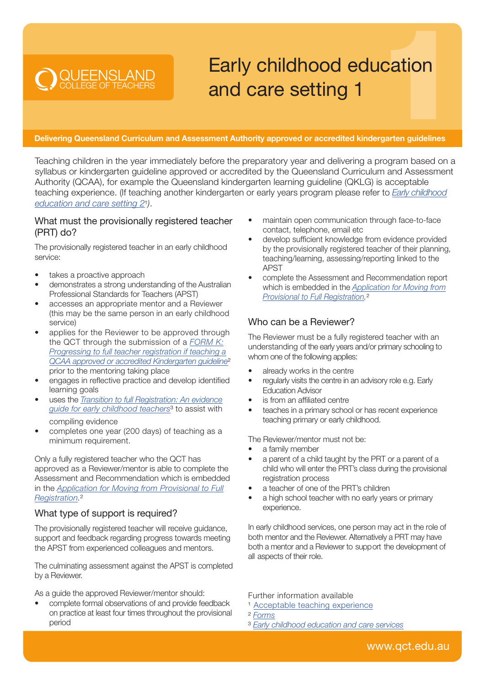## Early childhood education and care setting 1

Delivering Queensland Curriculum and Assessment Authority approved or accredited kindergarten guidelines

Teaching children in the year immediately before the preparatory year and delivering a program based on a syllabus or kindergarten guideline approved or accredited by the Queensland Curriculum and Assessment Authority (QCAA), for example the Queensland kindergarten learning guideline (QKLG) is acceptable [teaching experience. \(If teaching another kindergarten or early years program please refer to](https://cdn.qct.edu.au/pdf/TeachingExperience_EarlyChildhoodEdCareSetting2.pdf) *Early childhood education and care setting 2*¹*)*.

## What must the provisionally registered teacher (PRT) do?

The provisionally registered teacher in an early childhood service:

takes a proactive approach

**DOUEENSLAND** 

- demonstrates a strong understanding of the Australian Professional Standards for Teachers (APST)
- accesses an appropriate mentor and a Reviewer (this may be the same person in an early childhood service)
- applies for the Reviewer to be approved through the QCT through the submission of a *FORM K: Progressing to full teacher registration if teaching a [QCAA approved or accredited Kindergarten guideline](https://cdn.qct.edu.au/pdf/FormK_ProgressToFullRegistrationQCAAApproveAccredKindergartenGuideline.pdf)*² prior to the mentoring taking place
- engages in reflective practice and develop identified learning goals
- uses the *[Transition to full Registration: An evidence](https://cdn.qct.edu.au/pdf/EvidenceGuideEarlyChildhood.pdf) guide for early childhood teachers*³ to assist with compiling evidence
- completes one year (200 days) of teaching as a minimum requirement.

Only a fully registered teacher who the QCT has approved as a Reviewer/mentor is able to complete the Assessment and Recommendation which is embedded in the *[Application for Moving from Provisional to Full](https://cdn.qct.edu.au/pdf/Quick_start_guide_moving_from_provisional_to_full_registration_QS01.pdf) Registration.*²

## What type of support is required?

The provisionally registered teacher will receive guidance, support and feedback regarding progress towards meeting the APST from experienced colleagues and mentors.

The culminating assessment against the APST is completed by a Reviewer.

As a guide the approved Reviewer/mentor should:

• complete formal observations of and provide feedback on practice at least four times throughout the provisional period

- maintain open communication through face-to-face contact, telephone, email etc
- develop sufficient knowledge from evidence provided by the provisionally registered teacher of their planning, teaching/learning, assessing/reporting linked to the APST
- complete the Assessment and Recommendation report which is embedded in the *Application for Moving from [Provisional to Full Registration](https://cdn.qct.edu.au/pdf/Quick_start_guide_moving_from_provisional_to_full_registration_QS01.pdf).*²

## Who can be a Reviewer?

The Reviewer must be a fully registered teacher with an understanding of the early years and/or primary schooling to whom one of the following applies:

- already works in the centre
- regularly visits the centre in an advisory role e.g. Early Education Advisor
- is from an affiliated centre
- teaches in a primary school or has recent experience teaching primary or early childhood.

The Reviewer/mentor must not be:

- a family member
- a parent of a child taught by the PRT or a parent of a child who will enter the PRT's class during the provisional registration process
- a teacher of one of the PRT's children
- a high school teacher with no early years or primary experience.

In early childhood services, one person may act in the role of both mentor and the Reviewer. Alternatively a PRT may have both a mentor and a Reviewer to support the development of all aspects of their role.

Further information available

<sup>1</sup> [Acceptable teaching experience](https://www.qct.edu.au/registration/acceptable-teaching-experience)

² *[Forms](https://www.qct.edu.au/about/forms)*

³ *Early childhood [education and care services](https://www.qct.edu.au/registration/early-childhood-education-and-care-services)*